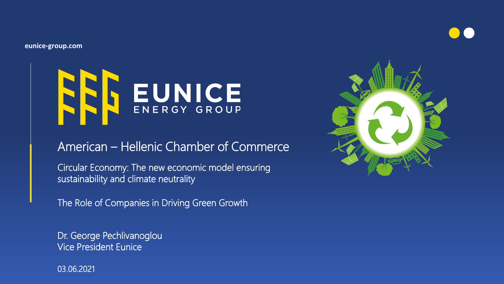**eunice-group.com**



## American – Hellenic Chamber of Commerce

Circular Economy: The new economic model ensuring sustainability and climate neutrality

The Role of Companies in Driving Green Growth

Dr. George Pechlivanoglou Vice President Eunice

03.06.2021

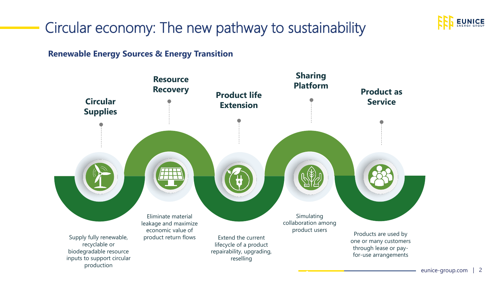

# Circular economy: The new pathway to sustainability

**Renewable Energy Sources & Energy Transition**

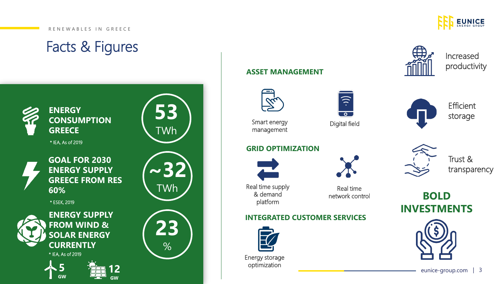#### R E N E W A B L E S IN G R E E C E





**GW**

**GW**

### **ASSET MANAGEMENT**



Smart energy management

#### **GRID OPTIMIZATION**



Real time supply & demand platform

#### **INTEGRATED CUSTOMER SERVICES**



Energy storage optimization



Real time network control



Digital field



Increased productivity



**Efficient** storage



Trust & transparency

**BOLD INVESTMENTS**



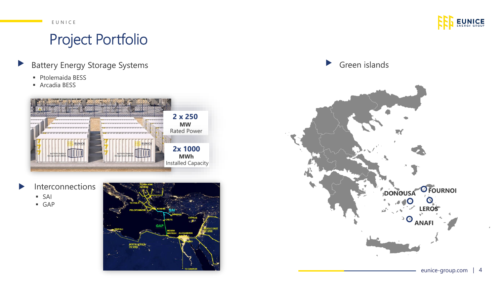#### E U N I C E

## Project Portfolio

- Battery Energy Storage Systems  $\blacktriangleright$ 
	- Ptolemaida BESS
	- Arcadia BESS



- Interconnections  $\blacktriangleright$ 
	- SAI
	- GAP



**EUNICE** 

 $\blacktriangleright$ Green islands